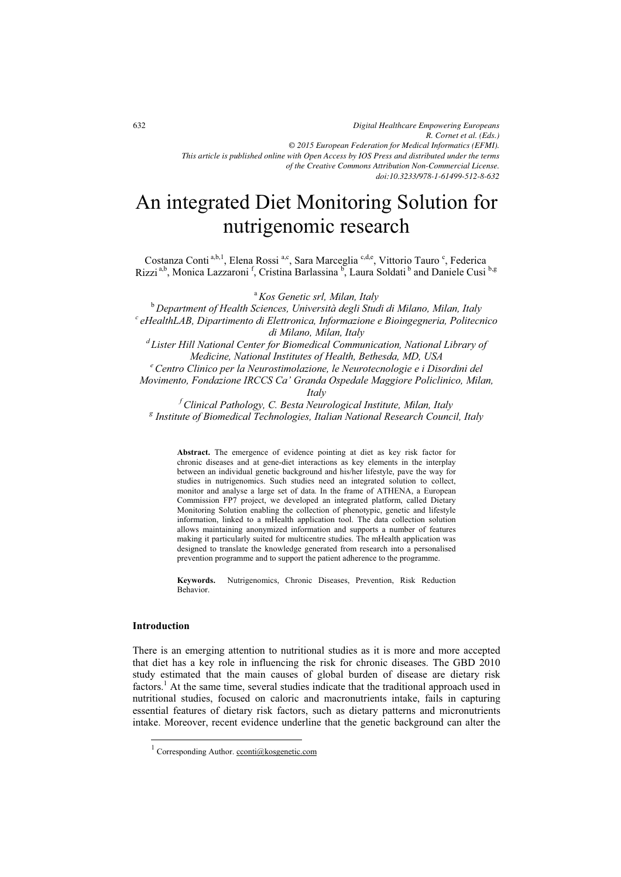# An integrated Diet Monitoring Solution for nutrigenomic research

Costanza Conti<sup>a,b,1</sup>, Elena Rossi<sup>a,c</sup>, Sara Marceglia<sup>c,d,e</sup>, Vittorio Tauro<sup>c</sup>, Federica Rizzi<sup>a,b</sup>, Monica Lazzaroni<sup>f</sup>, Cristina Barlassina<sup>b</sup>, Laura Soldati<sup>b</sup> and Daniele Cusi<sup>b,g</sup>

<sup>a</sup> Kos Genetic srl, Milan, Italy<br><sup>b</sup> Department of Health Sciences, Università degli Studi di Milano, Milan, Italy <sup>b</sup>*Department of Health Sciences, Università degli Studi di Milano, Milan, Italy c eHealthLAB, Dipartimento di Elettronica, Informazione e Bioingegneria, Politecnico di Milano, Milan, Italy d Lister Hill National Center for Biomedical Communication, National Library of* 

*Medicine, National Institutes of Health, Bethesda, MD, USA e Centro Clinico per la Neurostimolazione, le Neurotecnologie e i Disordini del Movimento, Fondazione IRCCS Ca' Granda Ospedale Maggiore Policlinico, Milan,* 

*Italy* 

*f Clinical Pathology, C. Besta Neurological Institute, Milan, Italy g Institute of Biomedical Technologies, Italian National Research Council, Italy* 

**Abstract.** The emergence of evidence pointing at diet as key risk factor for chronic diseases and at gene-diet interactions as key elements in the interplay between an individual genetic background and his/her lifestyle, pave the way for studies in nutrigenomics. Such studies need an integrated solution to collect, monitor and analyse a large set of data. In the frame of ATHENA, a European Commission FP7 project, we developed an integrated platform, called Dietary Monitoring Solution enabling the collection of phenotypic, genetic and lifestyle information, linked to a mHealth application tool. The data collection solution allows maintaining anonymized information and supports a number of features making it particularly suited for multicentre studies. The mHealth application was designed to translate the knowledge generated from research into a personalised prevention programme and to support the patient adherence to the programme.

**Keywords.** Nutrigenomics, Chronic Diseases, Prevention, Risk Reduction Behavior.

## **Introduction**

-

There is an emerging attention to nutritional studies as it is more and more accepted that diet has a key role in influencing the risk for chronic diseases. The GBD 2010 study estimated that the main causes of global burden of disease are dietary risk factors.<sup>1</sup> At the same time, several studies indicate that the traditional approach used in nutritional studies, focused on caloric and macronutrients intake, fails in capturing essential features of dietary risk factors, such as dietary patterns and micronutrients intake. Moreover, recent evidence underline that the genetic background can alter the

<sup>1</sup> Corresponding Author. cconti@kosgenetic.com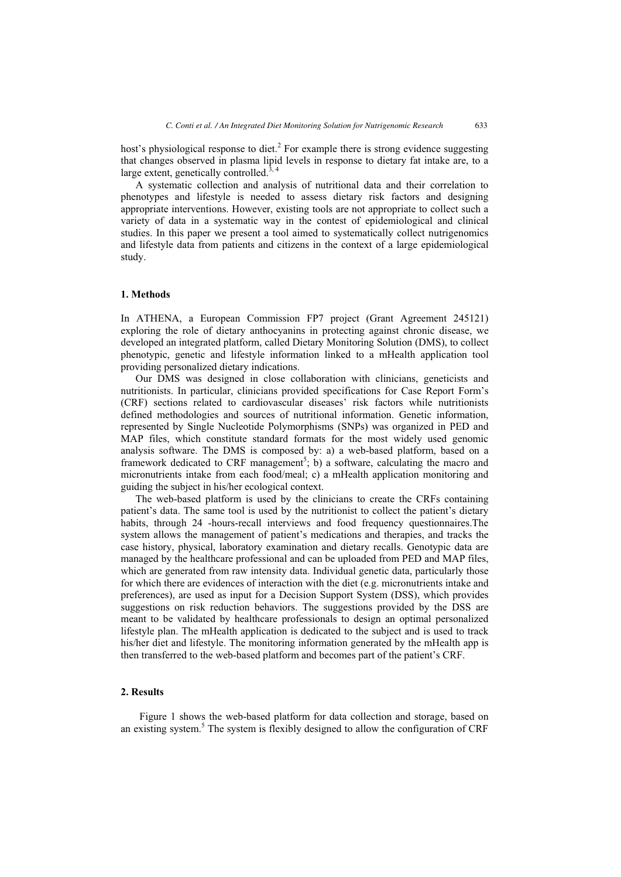host's physiological response to diet.<sup>2</sup> For example there is strong evidence suggesting that changes observed in plasma lipid levels in response to dietary fat intake are, to a large extent, genetically controlled.<sup>3, 4</sup>

A systematic collection and analysis of nutritional data and their correlation to phenotypes and lifestyle is needed to assess dietary risk factors and designing appropriate interventions. However, existing tools are not appropriate to collect such a variety of data in a systematic way in the contest of epidemiological and clinical studies. In this paper we present a tool aimed to systematically collect nutrigenomics and lifestyle data from patients and citizens in the context of a large epidemiological study.

### **1. Methods**

In ATHENA, a European Commission FP7 project (Grant Agreement 245121) exploring the role of dietary anthocyanins in protecting against chronic disease, we developed an integrated platform, called Dietary Monitoring Solution (DMS), to collect phenotypic, genetic and lifestyle information linked to a mHealth application tool providing personalized dietary indications.

Our DMS was designed in close collaboration with clinicians, geneticists and nutritionists. In particular, clinicians provided specifications for Case Report Form's (CRF) sections related to cardiovascular diseases' risk factors while nutritionists defined methodologies and sources of nutritional information. Genetic information, represented by Single Nucleotide Polymorphisms (SNPs) was organized in PED and MAP files, which constitute standard formats for the most widely used genomic analysis software. The DMS is composed by: a) a web-based platform, based on a framework dedicated to CRF management<sup>5</sup>; b) a software, calculating the macro and micronutrients intake from each food/meal; c) a mHealth application monitoring and guiding the subject in his/her ecological context.

The web-based platform is used by the clinicians to create the CRFs containing patient's data. The same tool is used by the nutritionist to collect the patient's dietary habits, through 24 -hours-recall interviews and food frequency questionnaires.The system allows the management of patient's medications and therapies, and tracks the case history, physical, laboratory examination and dietary recalls. Genotypic data are managed by the healthcare professional and can be uploaded from PED and MAP files, which are generated from raw intensity data. Individual genetic data, particularly those for which there are evidences of interaction with the diet (e.g. micronutrients intake and preferences), are used as input for a Decision Support System (DSS), which provides suggestions on risk reduction behaviors. The suggestions provided by the DSS are meant to be validated by healthcare professionals to design an optimal personalized lifestyle plan. The mHealth application is dedicated to the subject and is used to track his/her diet and lifestyle. The monitoring information generated by the mHealth app is then transferred to the web-based platform and becomes part of the patient's CRF.

#### **2. Results**

Figure 1 shows the web-based platform for data collection and storage, based on an existing system.<sup>5</sup> The system is flexibly designed to allow the configuration of CRF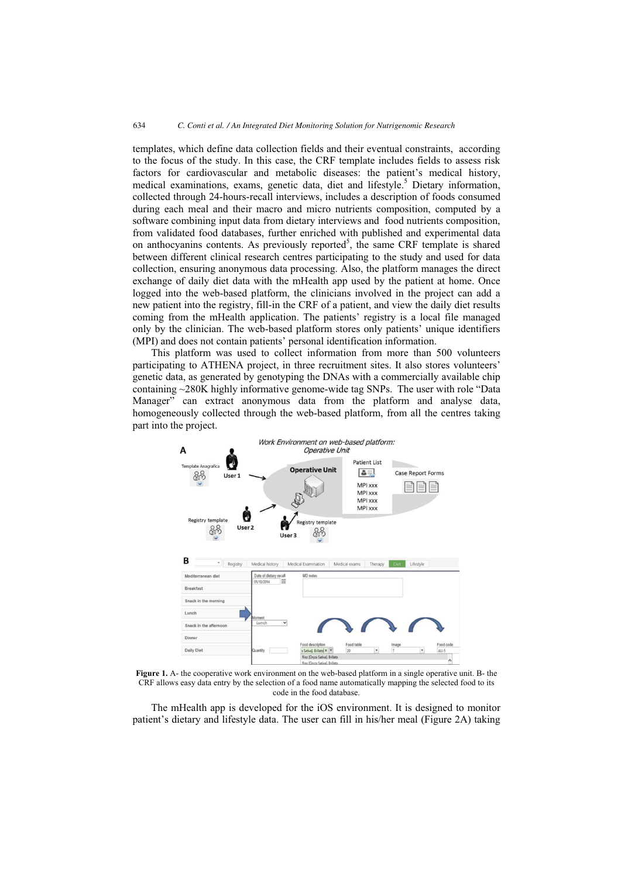templates, which define data collection fields and their eventual constraints, according to the focus of the study. In this case, the CRF template includes fields to assess risk factors for cardiovascular and metabolic diseases: the patient's medical history, medical examinations, exams, genetic data, diet and lifestyle.<sup>5</sup> Dietary information, collected through 24-hours-recall interviews, includes a description of foods consumed during each meal and their macro and micro nutrients composition, computed by a software combining input data from dietary interviews and food nutrients composition, from validated food databases, further enriched with published and experimental data on anthocyanins contents. As previously reported<sup>5</sup>, the same CRF template is shared between different clinical research centres participating to the study and used for data collection, ensuring anonymous data processing. Also, the platform manages the direct exchange of daily diet data with the mHealth app used by the patient at home. Once logged into the web-based platform, the clinicians involved in the project can add a new patient into the registry, fill-in the CRF of a patient, and view the daily diet results coming from the mHealth application. The patients' registry is a local file managed only by the clinician. The web-based platform stores only patients' unique identifiers (MPI) and does not contain patients' personal identification information.

This platform was used to collect information from more than 500 volunteers participating to ATHENA project, in three recruitment sites. It also stores volunteers' genetic data, as generated by genotyping the DNAs with a commercially available chip containing ~280K highly informative genome-wide tag SNPs. The user with role "Data Manager" can extract anonymous data from the platform and analyse data, homogeneously collected through the web-based platform, from all the centres taking part into the project.



**Figure 1.** A- the cooperative work environment on the web-based platform in a single operative unit. B- the CRF allows easy data entry by the selection of a food name automatically mapping the selected food to its code in the food database.

The mHealth app is developed for the iOS environment. It is designed to monitor patient's dietary and lifestyle data. The user can fill in his/her meal (Figure 2A) taking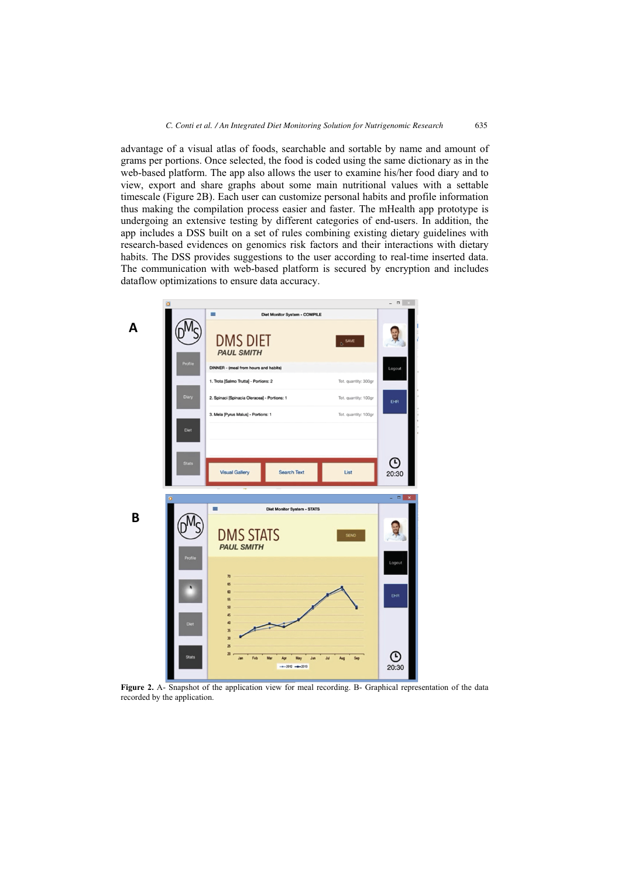advantage of a visual atlas of foods, searchable and sortable by name and amount of grams per portions. Once selected, the food is coded using the same dictionary as in the web-based platform. The app also allows the user to examine his/her food diary and to view, export and share graphs about some main nutritional values with a settable timescale (Figure 2B). Each user can customize personal habits and profile information thus making the compilation process easier and faster. The mHealth app prototype is undergoing an extensive testing by different categories of end-users. In addition, the app includes a DSS built on a set of rules combining existing dietary guidelines with research-based evidences on genomics risk factors and their interactions with dietary habits. The DSS provides suggestions to the user according to real-time inserted data. The communication with web-based platform is secured by encryption and includes dataflow optimizations to ensure data accuracy.



Figure 2. A- Snapshot of the application view for meal recording. B- Graphical representation of the data recorded by the application.